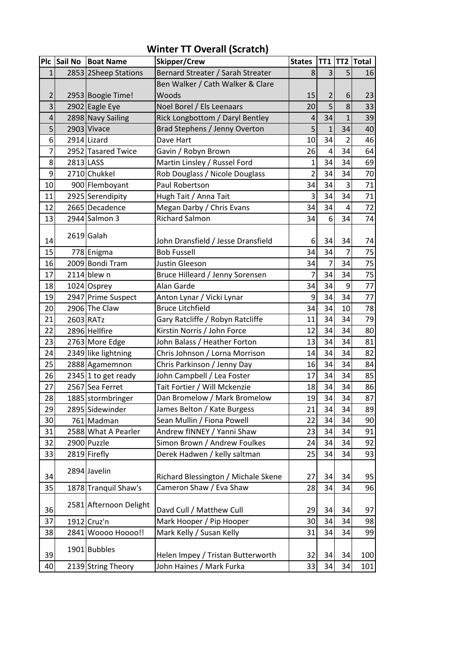|                |           | Plc Sail No Boat Name  | Skipper/Crew                        | <b>States</b>  |                |                | TT1 TT2 Total |
|----------------|-----------|------------------------|-------------------------------------|----------------|----------------|----------------|---------------|
| $\mathbf{1}$   |           | 2853 2Sheep Stations   | Bernard Streater / Sarah Streater   | 8              | 3 <sup>1</sup> | 5              | 16            |
|                |           |                        | Ben Walker / Cath Walker & Clare    |                |                |                |               |
| $\overline{2}$ |           | 2953 Boogie Time!      | Woods                               | 15             | $\overline{2}$ | 6              | 23            |
| 3              |           | 2902 Eagle Eye         | Noel Borel / Els Leenaars           | 20             | $\overline{5}$ | $\overline{8}$ | 33            |
| 4              |           | 2898 Navy Sailing      | Rick Longbottom / Daryl Bentley     | 4              | 34             | $\overline{1}$ | 39            |
| 5              |           | 2903 Vivace            | Brad Stephens / Jenny Overton       | 5              | $\mathbf{1}$   | 34             | 40            |
| 6              |           | 2914 Lizard            | Dave Hart                           | 10             | 34             | $\overline{2}$ | 46            |
| $\overline{7}$ |           | 2952 Tasared Twice     | Gavin / Robyn Brown                 | 26             | $\overline{4}$ | 34             | 64            |
| 8              | 2813 LASS |                        | Martin Linsley / Russel Ford        | 1              | 34             | 34             | 69            |
| 9              |           | 2710 Chukkel           | Rob Douglass / Nicole Douglass      | $\overline{2}$ | 34             | 34             | 70            |
| 10             |           | 900 Flemboyant         | Paul Robertson                      | 34             | 34             | 3              | 71            |
| 11             |           | 2925 Serendipity       | Hugh Tait / Anna Tait               | 3              | 34             | 34             | 71            |
| 12             |           | 2665 Decadence         | Megan Darby / Chris Evans           | 34             | 34             | $\overline{4}$ | 72            |
| 13             |           | 2944 Salmon 3          | <b>Richard Salmon</b>               | 34             | 6 <sup>1</sup> | 34             | 74            |
|                |           |                        |                                     |                |                |                |               |
| 14             |           | 2619 Galah             | John Dransfield / Jesse Dransfield  | 6              | 34             | 34             | 74            |
| 15             |           | 778 Enigma             | <b>Bob Fussell</b>                  | 34             | 34             | 7              | 75            |
| 16             |           | 2009 Bondi Tram        | Justin Gleeson                      | 34             | $\overline{7}$ | 34             | 75            |
| 17             |           | $2114$ blew n          | Bruce Hilleard / Jenny Sorensen     | 7              | 34             | 34             | 75            |
| 18             |           | 1024 Osprey            | Alan Garde                          | 34             | 34             | 9              | 77            |
| 19             |           | 2947 Prime Suspect     | Anton Lynar / Vicki Lynar           | 9              | 34             | 34             | 77            |
| 20             |           | 2906 The Claw          | <b>Bruce Litchfield</b>             | 34             | 34             | 10             | 78            |
| 21             |           | 2603 RATz              | Gary Ratcliffe / Robyn Ratcliffe    | 11             | 34             | 34             | 79            |
| 22             |           | 2896 Hellfire          | Kirstin Norris / John Force         | 12             | 34             | 34             | 80            |
| 23             |           | 2763 More Edge         | John Balass / Heather Forton        | 13             | 34             | 34             | 81            |
| 24             |           | 2349 like lightning    | Chris Johnson / Lorna Morrison      | 14             | 34             | 34             | 82            |
| 25             |           | 2888 Agamemnon         | Chris Parkinson / Jenny Day         | 16             | 34             | 34             | 84            |
| 26             |           | 2345 1 to get ready    | John Campbell / Lea Foster          | 17             | 34             | 34             | 85            |
| 27             |           | 2567 Sea Ferret        | Tait Fortier / Will Mckenzie        | 18             | 34             | 34             | 86            |
| 28             |           | 1885 stormbringer      | Dan Bromelow / Mark Bromelow        | 19             | 34             | 34             | 87            |
| 29             |           | 2895 Sidewinder        | James Belton / Kate Burgess         | 21             | 34             | 34             | 89            |
| 30             |           | 761 Madman             | Sean Mullin / Fiona Powell          | 22             | 34             | 34             | 90            |
| 31             |           | 2588 What A Pearler    | Andrew fINNEY / Yanni Shaw          | 23             | 34             | 34             | 91            |
| 32             |           | 2900 Puzzle            | Simon Brown / Andrew Foulkes        | 24             | 34             | 34             | 92            |
| 33             |           | 2819 Firefly           | Derek Hadwen / kelly saltman        | 25             | 34             | 34             | 93            |
|                |           |                        |                                     |                |                |                |               |
| 34             |           | 2894 Javelin           | Richard Blessington / Michale Skene | 27             | 34             | 34             | 95            |
| 35             |           | 1878 Tranquil Shaw's   | Cameron Shaw / Eva Shaw             | 28             | 34             | 34             | 96            |
|                |           |                        |                                     |                |                |                |               |
| 36             |           | 2581 Afternoon Delight | Davd Cull / Matthew Cull            | 29             | 34             | 34             | 97            |
| 37             |           | 1912 Cruz'n            | Mark Hooper / Pip Hooper            | 30             | 34             | 34             | 98            |
| 38             |           | 2841 Woooo Hoooo!!     | Mark Kelly / Susan Kelly            | 31             | 34             | 34             | 99            |
|                |           |                        |                                     |                |                |                |               |
| 39             |           | 1901 Bubbles           | Helen Impey / Tristan Butterworth   | 32             | 34             | 34             | 100           |
| 40             |           | 2139 String Theory     | John Haines / Mark Furka            | 33             | 34             | 34             | 101           |

**Winter TT Overall (Scratch)**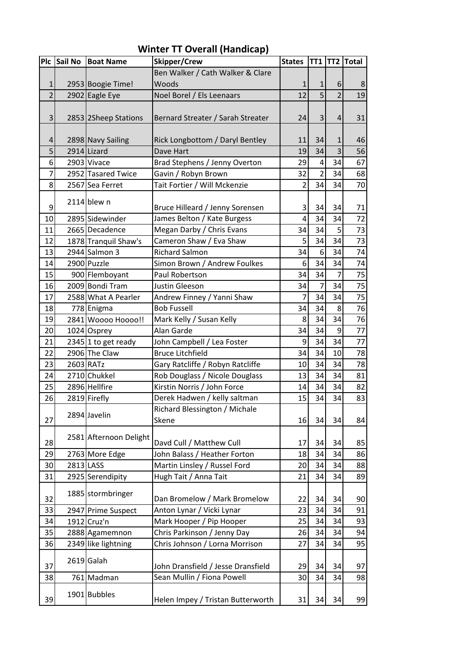|                | Plc Sail No | <b>Boat Name</b>       | <b>Skipper/Crew</b>                | <b>States</b>   |                |                | TT1 TT2 Total |
|----------------|-------------|------------------------|------------------------------------|-----------------|----------------|----------------|---------------|
|                |             |                        | Ben Walker / Cath Walker & Clare   |                 |                |                |               |
| 1              |             | 2953 Boogie Time!      | Woods                              | $\mathbf 1$     | $\mathbf{1}$   | 6              | 8             |
| $\overline{2}$ |             | 2902 Eagle Eye         | Noel Borel / Els Leenaars          | 12              | 5              | $\overline{2}$ | 19            |
|                |             |                        |                                    |                 |                |                |               |
| 3              |             | 2853 2Sheep Stations   | Bernard Streater / Sarah Streater  | 24              | $\mathsf{3}$   | 4              | 31            |
|                |             |                        |                                    |                 |                |                |               |
| 4              |             | 2898 Navy Sailing      | Rick Longbottom / Daryl Bentley    | 11              | 34             | 1              | 46            |
| 5              |             | 2914 Lizard            | Dave Hart                          | 19              | 34             | 3              | 56            |
| 6              |             | 2903 Vivace            | Brad Stephens / Jenny Overton      | 29              | 4              | 34             | 67            |
| 7              |             | 2952 Tasared Twice     | Gavin / Robyn Brown                | 32              | $\overline{2}$ | 34             | 68            |
| 8              |             | 2567 Sea Ferret        | Tait Fortier / Will Mckenzie       | $\overline{2}$  | 34             | 34             | 70            |
|                |             | $2114$ blew n          |                                    |                 |                |                |               |
| 9              |             |                        | Bruce Hilleard / Jenny Sorensen    | 3               | 34             | 34             | 71            |
| 10             |             | 2895 Sidewinder        | James Belton / Kate Burgess        | 4               | 34             | 34             | 72            |
| 11             |             | 2665 Decadence         | Megan Darby / Chris Evans          | 34              | 34             | 5              | 73            |
| 12             |             | 1878 Tranquil Shaw's   | Cameron Shaw / Eva Shaw            | 5               | 34             | 34             | 73            |
| 13             |             | 2944 Salmon 3          | <b>Richard Salmon</b>              | 34              | 6              | 34             | 74            |
| 14             |             | 2900 Puzzle            | Simon Brown / Andrew Foulkes       | 6               | 34             | 34             | 74            |
| 15             |             | 900 Flemboyant         | Paul Robertson                     | 34              | 34             | $\overline{7}$ | 75            |
| 16             |             | 2009 Bondi Tram        | Justin Gleeson                     | 34              | $\overline{7}$ | 34             | 75            |
| 17             |             | 2588 What A Pearler    | Andrew Finney / Yanni Shaw         | $\overline{7}$  | 34             | 34             | 75            |
| 18             |             | 778 Enigma             | <b>Bob Fussell</b>                 | 34              | 34             | 8              | 76            |
| 19             |             | 2841 Woooo Hoooo!!     | Mark Kelly / Susan Kelly           | 8               | 34             | 34             | 76            |
| 20             |             | 1024 Osprey            | Alan Garde                         | 34              | 34             | 9              | 77            |
| 21             |             | 2345 1 to get ready    | John Campbell / Lea Foster         | 9               | 34             | 34             | 77            |
| 22             |             | 2906 The Claw          | <b>Bruce Litchfield</b>            | 34              | 34             | 10             | 78            |
| 23             |             | 2603 RATz              | Gary Ratcliffe / Robyn Ratcliffe   | 10              | 34             | 34             | 78            |
| 24             |             | 2710 Chukkel           | Rob Douglass / Nicole Douglass     | 13              | 34             | 34             | 81            |
| 25             |             | 2896 Hellfire          | Kirstin Norris / John Force        | 14              | 34             | 34             | 82            |
| 26             |             | 2819 Firefly           | Derek Hadwen / kelly saltman       | 15 <sup>1</sup> | 34             | 34             | 83            |
|                |             |                        | Richard Blessington / Michale      |                 |                |                |               |
| 27             |             | 2894 Javelin           | Skene                              | 16              | 34             | 34             | 84            |
|                |             | 2581 Afternoon Delight |                                    |                 |                |                |               |
| 28             |             |                        | Davd Cull / Matthew Cull           | 17              | 34             | 34             | 85            |
| 29             |             | 2763 More Edge         | John Balass / Heather Forton       | 18              | 34             | 34             | 86            |
| 30             |             | 2813 LASS              | Martin Linsley / Russel Ford       | 20              | 34             | 34             | 88            |
| 31             |             | 2925 Serendipity       | Hugh Tait / Anna Tait              | 21              | 34             | 34             | 89            |
| 32             |             | 1885 stormbringer      | Dan Bromelow / Mark Bromelow       | 22              | 34             | 34             | 90            |
| 33             |             | 2947 Prime Suspect     | Anton Lynar / Vicki Lynar          | 23              | 34             | 34             | 91            |
| 34             |             | 1912 Cruz'n            | Mark Hooper / Pip Hooper           | 25              | 34             | 34             | 93            |
| 35             |             | 2888 Agamemnon         | Chris Parkinson / Jenny Day        | 26              | 34             | 34             | 94            |
| 36             |             | 2349 like lightning    | Chris Johnson / Lorna Morrison     | 27              | 34             | 34             | 95            |
|                |             |                        |                                    |                 |                |                |               |
| 37             |             | 2619 Galah             | John Dransfield / Jesse Dransfield | 29              | 34             | 34             | 97            |
| 38             |             | 761 Madman             | Sean Mullin / Fiona Powell         | 30              | 34             | 34             | 98            |
| 39             |             | 1901 Bubbles           | Helen Impey / Tristan Butterworth  | 31              | 34             | 34             | 99            |

## **Winter TT Overall (Handicap)**